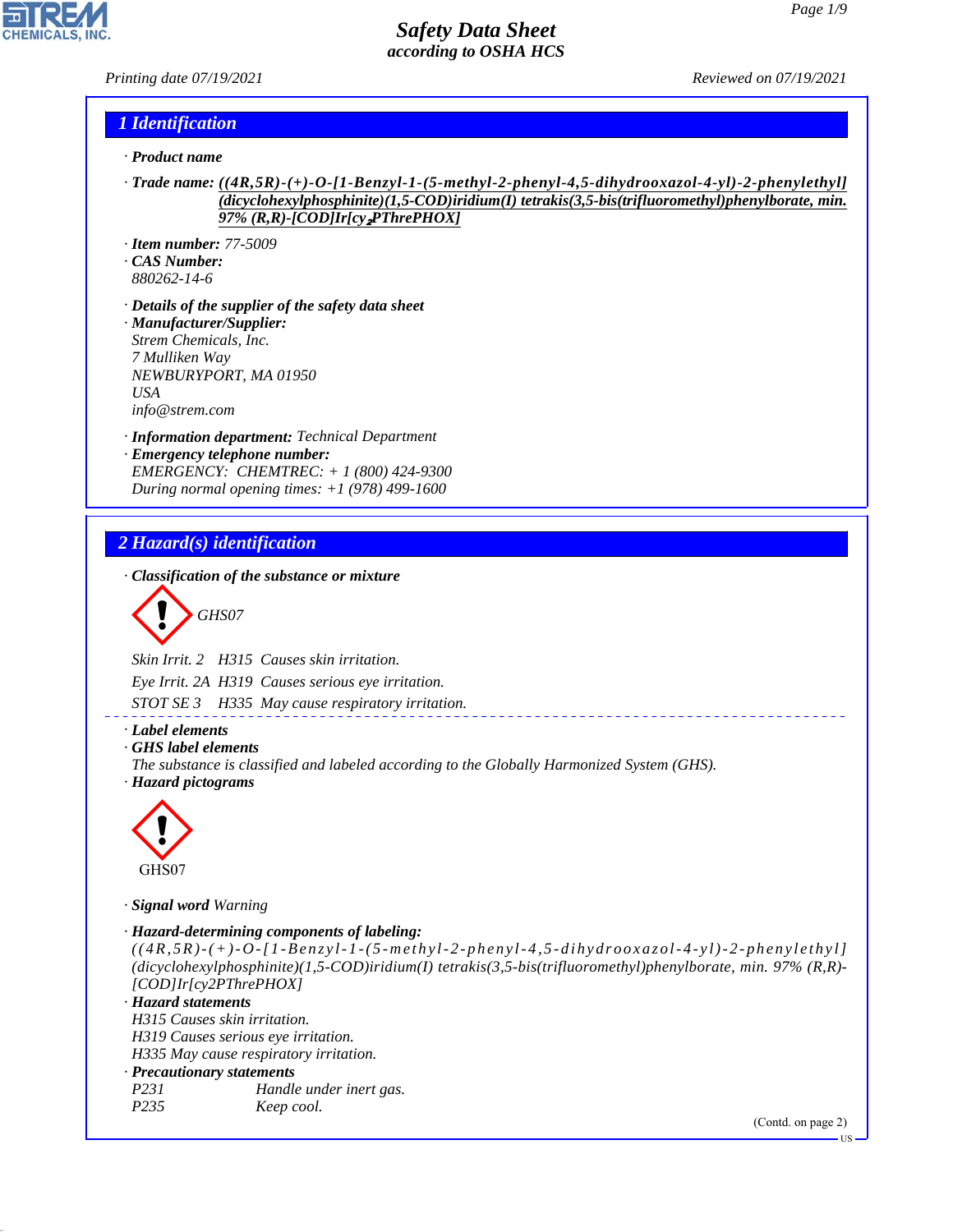*Printing date 07/19/2021 Reviewed on 07/19/2021*

#### *1 Identification*

*· Product name*

| $\cdot$ Trade name: $((4R, 5R)$ - $(+)$ - $O$ -[1-Benzyl-1-(5-methyl-2-phenyl-4,5-dihydrooxazol-4-yl)-2-phenylethyl] |  |
|----------------------------------------------------------------------------------------------------------------------|--|
| $(dicyclohexylphosphinite)(1,5-COD)iridium(I) tetrakis(3,5-bis(trifluoromethyl)phenylborate, min.$                   |  |
| 97% (R,R)-[COD]Ir[cy_PThrePHOX]                                                                                      |  |

- *· Item number: 77-5009*
- *· CAS Number: 880262-14-6*
- *· Details of the supplier of the safety data sheet · Manufacturer/Supplier: Strem Chemicals, Inc. 7 Mulliken Way*
- *NEWBURYPORT, MA 01950 USA info@strem.com*
- *· Information department: Technical Department*
- *· Emergency telephone number: EMERGENCY: CHEMTREC: + 1 (800) 424-9300 During normal opening times: +1 (978) 499-1600*

## *2 Hazard(s) identification*

*· Classification of the substance or mixture*

$$
\bigotimes \mathrm{GH}S07
$$

*Skin Irrit. 2 H315 Causes skin irritation.*

*Eye Irrit. 2A H319 Causes serious eye irritation.*

*STOT SE 3 H335 May cause respiratory irritation.*

*· Label elements*

*· GHS label elements*

*The substance is classified and labeled according to the Globally Harmonized System (GHS). · Hazard pictograms*



44.1.1

*· Signal word Warning*

```
· Hazard-determining components of labeling:
((4R,5R)-(+)-O-[1-Benzyl-1-(5-methyl-2-pheny l-4,5-dihydrooxazol-4-yl)-2-phenylethyl]
(dicyclohexylphosphinite)(1,5-COD)iridium(I) tetrakis(3,5-bis(trifluoromethyl)phenylborate, min. 97% (R,R)-
[COD]Ir[cy2PThrePHOX]
· Hazard statements
H315 Causes skin irritation.
H319 Causes serious eye irritation.
H335 May cause respiratory irritation.
· Precautionary statements
P231 Handle under inert gas.
P235 Keep cool.
                                                                                      (Contd. on page 2)
                                                                                                    US
```
------------------------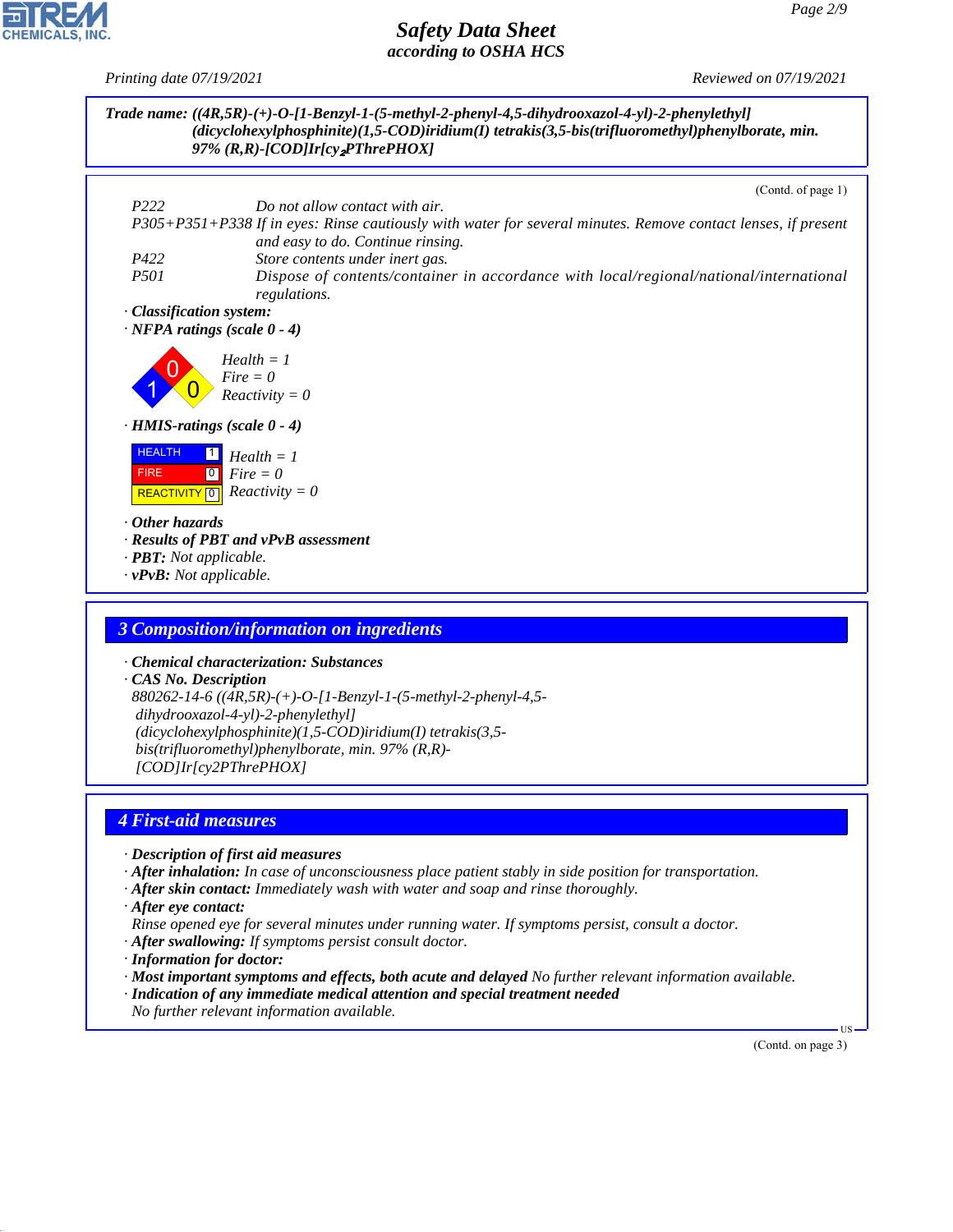*Printing date 07/19/2021 Reviewed on 07/19/2021*



# *· Chemical characterization: Substances*

*· CAS No. Description 880262-14-6 ((4R,5R)-(+)-O-[1-Benzyl-1-(5-methyl-2-phenyl-4,5 dihydrooxazol-4-yl)-2-phenylethyl] (dicyclohexylphosphinite)(1,5-COD)iridium(I) tetrakis(3,5 bis(trifluoromethyl)phenylborate, min. 97% (R,R)- [COD]Ir[cy2PThrePHOX]*

## *4 First-aid measures*

- *· Description of first aid measures*
- *· After inhalation: In case of unconsciousness place patient stably in side position for transportation.*
- *· After skin contact: Immediately wash with water and soap and rinse thoroughly.*
- *· After eye contact:*

44.1.1

- *Rinse opened eye for several minutes under running water. If symptoms persist, consult a doctor.*
- *· After swallowing: If symptoms persist consult doctor.*
- *· Information for doctor:*
- *· Most important symptoms and effects, both acute and delayed No further relevant information available.*
- *· Indication of any immediate medical attention and special treatment needed*
- *No further relevant information available.*

(Contd. on page 3)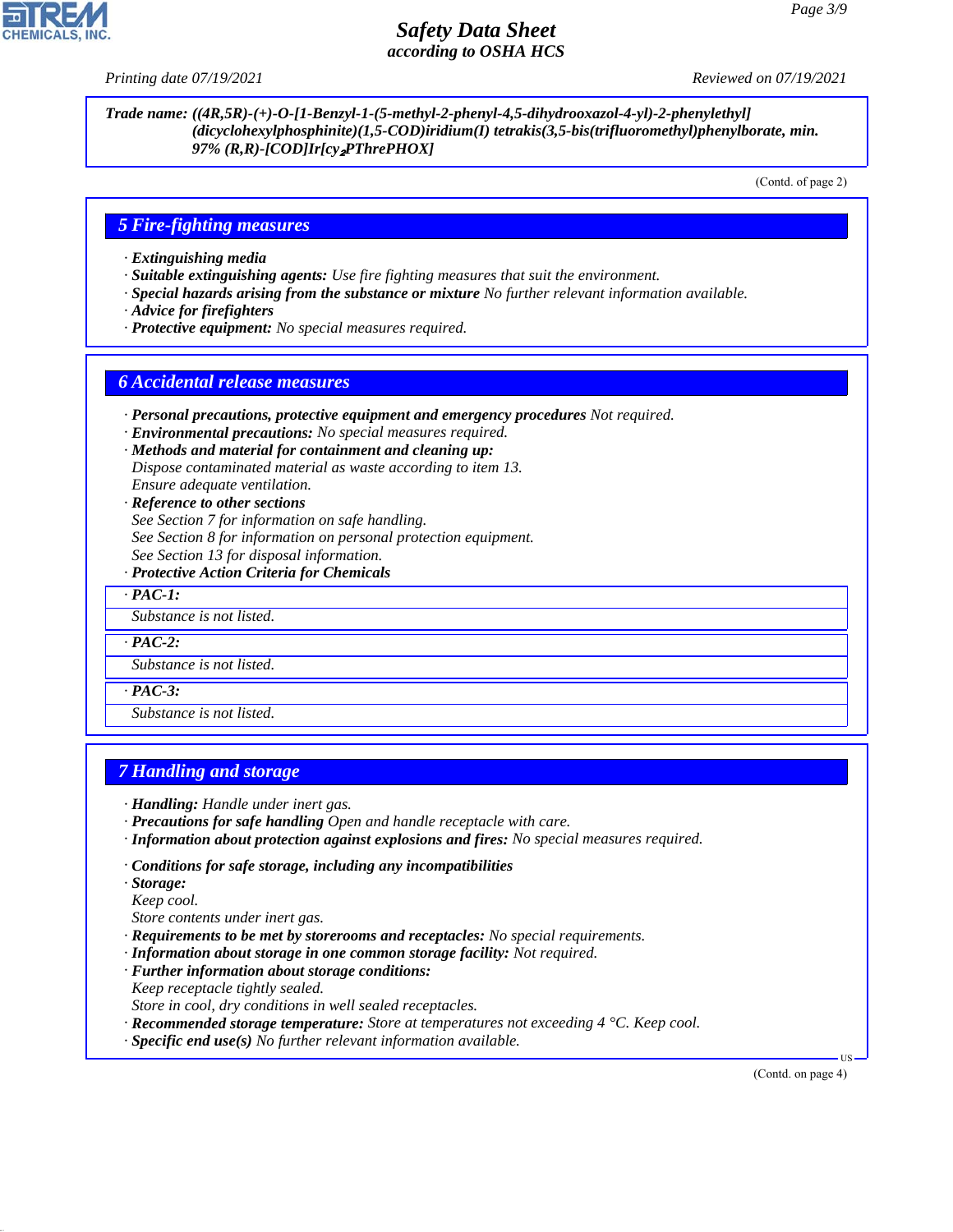*Printing date 07/19/2021 Reviewed on 07/19/2021*

#### *Trade name: ((4R,5R)-(+)-O-[1-Benzyl-1-(5-methyl-2-phenyl-4,5-dihydrooxazol-4-yl)-2-phenylethyl] (dicyclohexylphosphinite)(1,5-COD)iridium(I) tetrakis(3,5-bis(trifluoromethyl)phenylborate, min. 97% (R,R)-[COD]Ir[cy*₂*PThrePHOX]*

(Contd. of page 2)

#### *5 Fire-fighting measures*

- *· Extinguishing media*
- *· Suitable extinguishing agents: Use fire fighting measures that suit the environment.*
- *· Special hazards arising from the substance or mixture No further relevant information available.*
- *· Advice for firefighters*
- *· Protective equipment: No special measures required.*

#### *6 Accidental release measures*

*· Personal precautions, protective equipment and emergency procedures Not required.*

*· Environmental precautions: No special measures required.*

*· Methods and material for containment and cleaning up: Dispose contaminated material as waste according to item 13.*

*Ensure adequate ventilation.*

- *· Reference to other sections*
- *See Section 7 for information on safe handling.*
- *See Section 8 for information on personal protection equipment.*
- *See Section 13 for disposal information.*
- *· Protective Action Criteria for Chemicals*

#### *· PAC-1:*

*Substance is not listed.*

*· PAC-2:*

*Substance is not listed.*

*· PAC-3:*

*Substance is not listed.*

#### *7 Handling and storage*

- *· Handling: Handle under inert gas.*
- *· Precautions for safe handling Open and handle receptacle with care.*
- *· Information about protection against explosions and fires: No special measures required.*
- *· Conditions for safe storage, including any incompatibilities*
- *· Storage:*

44.1.1

- *Keep cool.*
- *Store contents under inert gas.*
- *· Requirements to be met by storerooms and receptacles: No special requirements.*
- *· Information about storage in one common storage facility: Not required.*
- *· Further information about storage conditions:*
- *Keep receptacle tightly sealed.*
- *Store in cool, dry conditions in well sealed receptacles.*
- *· Recommended storage temperature: Store at temperatures not exceeding 4 °C. Keep cool.*
- *· Specific end use(s) No further relevant information available.*

(Contd. on page 4)

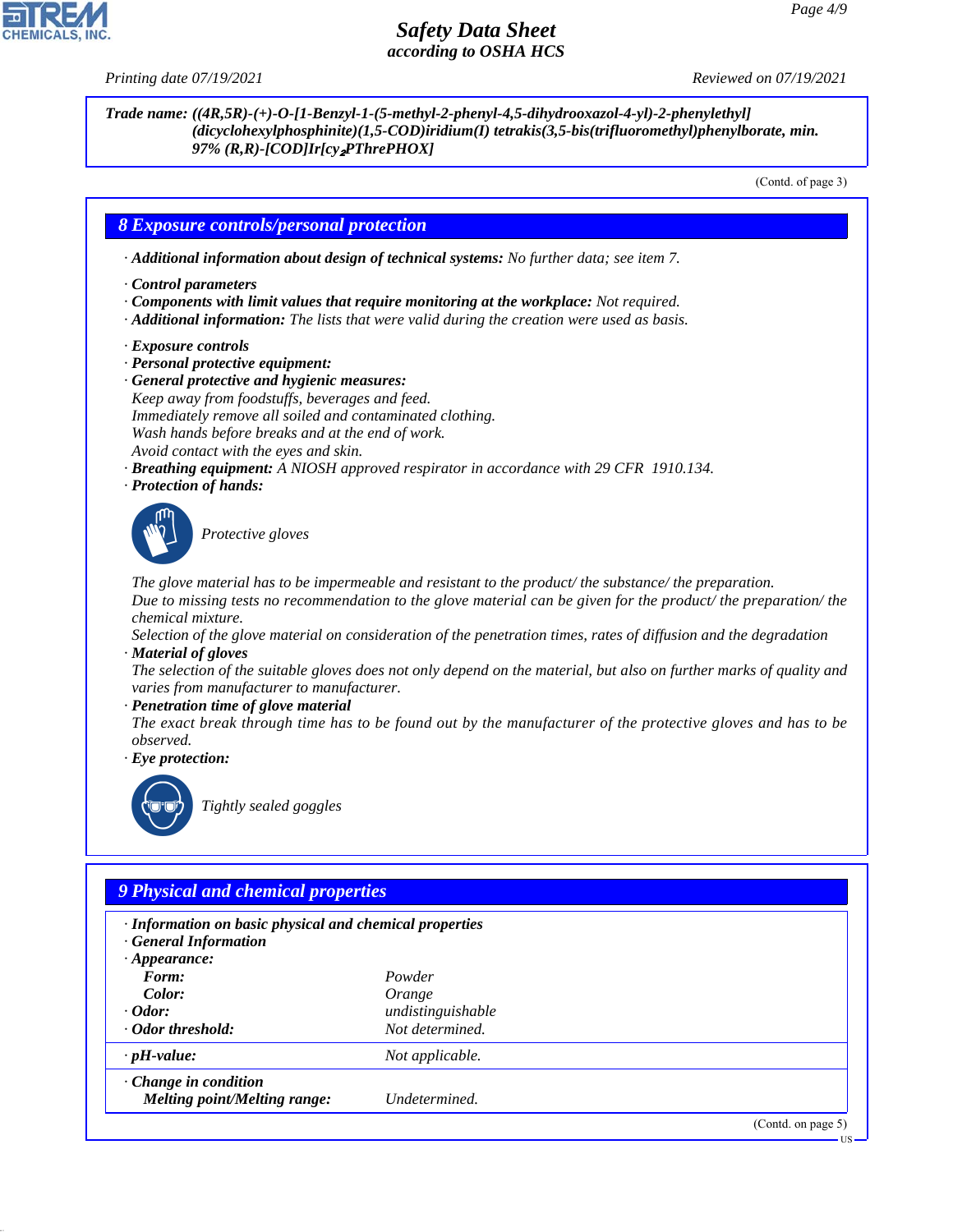

*Selection of the glove material on consideration of the penetration times, rates of diffusion and the degradation · Material of gloves*

*The selection of the suitable gloves does not only depend on the material, but also on further marks of quality and varies from manufacturer to manufacturer.*

#### *· Penetration time of glove material*

*The exact break through time has to be found out by the manufacturer of the protective gloves and has to be observed.*

*· Eye protection:*



44.1.1

\_R*Tightly sealed goggles*

## *9 Physical and chemical properties*

| · Information on basic physical and chemical properties<br><b>General Information</b><br>$\cdot$ Appearance:<br>Form:<br>Color:<br>$\cdot$ Odor:<br>Odor threshold: | Powder<br>Orange<br>undistinguishable<br>Not determined. |                    |
|---------------------------------------------------------------------------------------------------------------------------------------------------------------------|----------------------------------------------------------|--------------------|
| $\cdot$ pH-value:                                                                                                                                                   | Not applicable.                                          |                    |
| $\cdot$ Change in condition<br><b>Melting point/Melting range:</b>                                                                                                  | Undetermined.                                            |                    |
|                                                                                                                                                                     |                                                          | (Contd. on page 5) |



*Printing date 07/19/2021 Reviewed on 07/19/2021*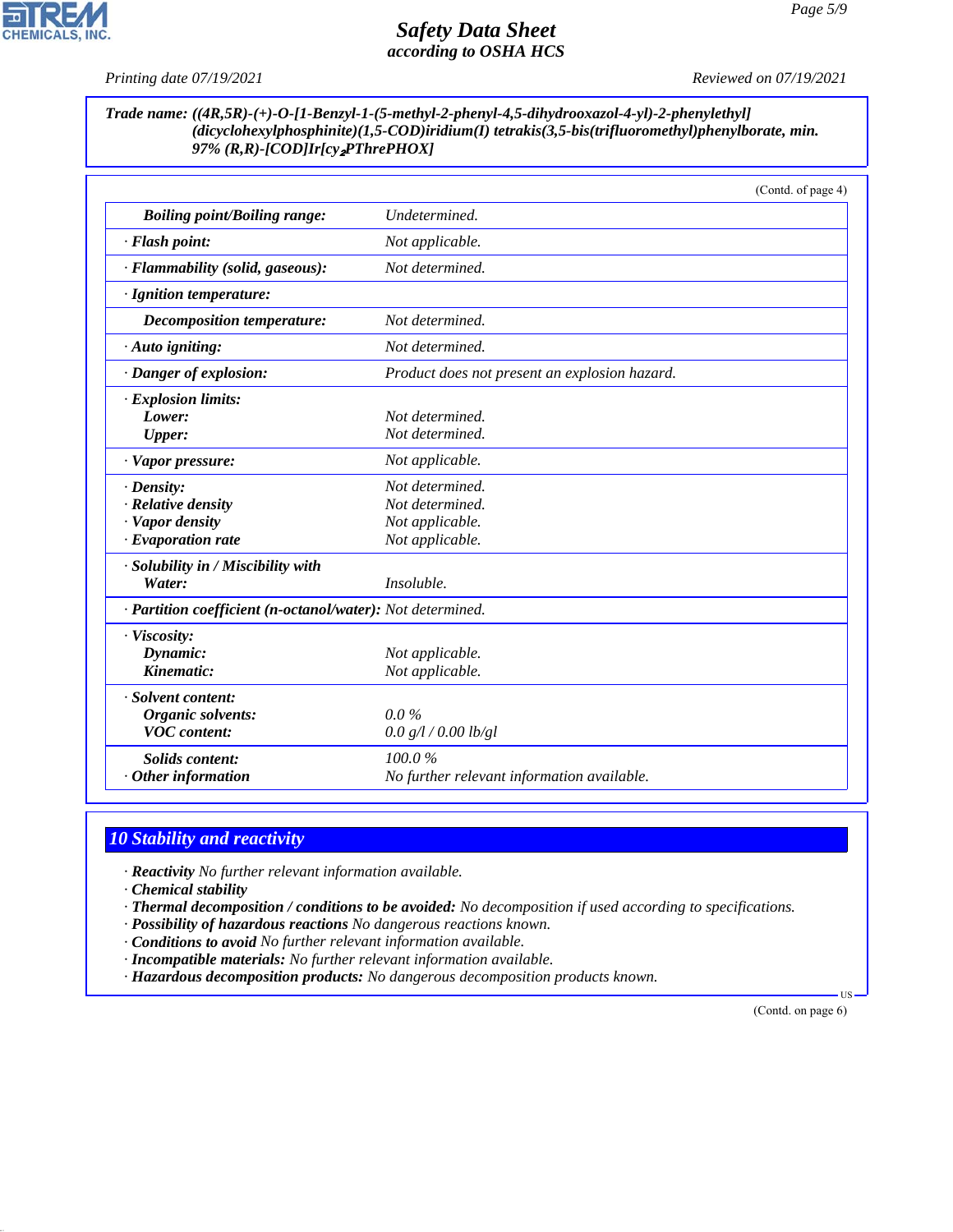*Printing date 07/19/2021 Reviewed on 07/19/2021*

*Trade name: ((4R,5R)-(+)-O-[1-Benzyl-1-(5-methyl-2-phenyl-4,5-dihydrooxazol-4-yl)-2-phenylethyl] (dicyclohexylphosphinite)(1,5-COD)iridium(I) tetrakis(3,5-bis(trifluoromethyl)phenylborate, min. 97% (R,R)-[COD]Ir[cy*₂*PThrePHOX]*

|                                                            | (Contd. of page 4)                            |  |
|------------------------------------------------------------|-----------------------------------------------|--|
| <b>Boiling point/Boiling range:</b>                        | Undetermined.                                 |  |
| · Flash point:                                             | Not applicable.                               |  |
| · Flammability (solid, gaseous):                           | Not determined.                               |  |
| · Ignition temperature:                                    |                                               |  |
| Decomposition temperature:                                 | Not determined.                               |  |
| · Auto igniting:                                           | Not determined.                               |  |
| · Danger of explosion:                                     | Product does not present an explosion hazard. |  |
| · Explosion limits:                                        |                                               |  |
| Lower:                                                     | Not determined.                               |  |
| <b>Upper:</b>                                              | Not determined.                               |  |
| · Vapor pressure:                                          | Not applicable.                               |  |
| · Density:                                                 | Not determined.                               |  |
| $\cdot$ Relative density                                   | Not determined.                               |  |
| · Vapor density                                            | Not applicable.                               |  |
| $\cdot$ Evaporation rate                                   | Not applicable.                               |  |
| · Solubility in / Miscibility with                         |                                               |  |
| Water:                                                     | Insoluble.                                    |  |
| · Partition coefficient (n-octanol/water): Not determined. |                                               |  |
| · Viscosity:                                               |                                               |  |
| Dynamic:                                                   | Not applicable.                               |  |
| Kinematic:                                                 | Not applicable.                               |  |
| · Solvent content:                                         |                                               |  |
| Organic solvents:                                          | $0.0\%$                                       |  |
| <b>VOC</b> content:                                        | 0.0 g/l / 0.00 lb/gl                          |  |
| Solids content:                                            | 100.0%                                        |  |
| $·$ Other information                                      | No further relevant information available.    |  |

## *10 Stability and reactivity*

*· Reactivity No further relevant information available.*

*· Chemical stability*

44.1.1

- *· Thermal decomposition / conditions to be avoided: No decomposition if used according to specifications.*
- *· Possibility of hazardous reactions No dangerous reactions known.*
- *· Conditions to avoid No further relevant information available.*
- *· Incompatible materials: No further relevant information available.*
- *· Hazardous decomposition products: No dangerous decomposition products known.*

(Contd. on page 6)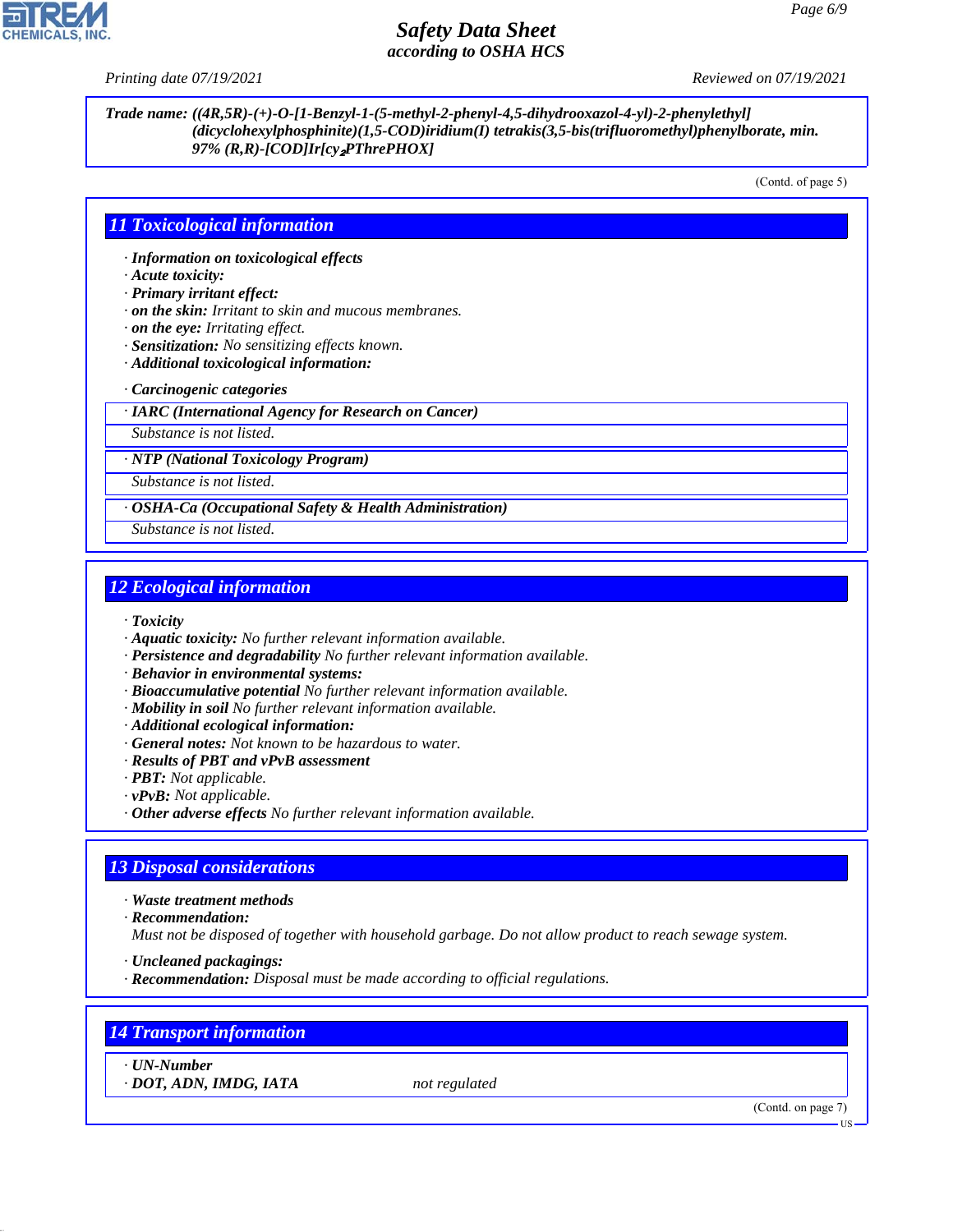*Printing date 07/19/2021 Reviewed on 07/19/2021*

#### *Trade name: ((4R,5R)-(+)-O-[1-Benzyl-1-(5-methyl-2-phenyl-4,5-dihydrooxazol-4-yl)-2-phenylethyl] (dicyclohexylphosphinite)(1,5-COD)iridium(I) tetrakis(3,5-bis(trifluoromethyl)phenylborate, min. 97% (R,R)-[COD]Ir[cy*₂*PThrePHOX]*

(Contd. of page 5)

## *11 Toxicological information*

- *· Information on toxicological effects*
- *· Acute toxicity:*
- *· Primary irritant effect:*
- *· on the skin: Irritant to skin and mucous membranes.*
- *· on the eye: Irritating effect.*
- *· Sensitization: No sensitizing effects known.*
- *· Additional toxicological information:*
- *· Carcinogenic categories*
- *· IARC (International Agency for Research on Cancer)*

*Substance is not listed.*

*· NTP (National Toxicology Program)*

*Substance is not listed.*

*· OSHA-Ca (Occupational Safety & Health Administration)*

*Substance is not listed.*

#### *12 Ecological information*

- *· Toxicity*
- *· Aquatic toxicity: No further relevant information available.*
- *· Persistence and degradability No further relevant information available.*
- *· Behavior in environmental systems:*
- *· Bioaccumulative potential No further relevant information available.*
- *· Mobility in soil No further relevant information available.*
- *· Additional ecological information:*
- *· General notes: Not known to be hazardous to water.*
- *· Results of PBT and vPvB assessment*
- *· PBT: Not applicable.*
- *· vPvB: Not applicable.*
- *· Other adverse effects No further relevant information available.*

#### *13 Disposal considerations*

- *· Waste treatment methods*
- *· Recommendation:*

*Must not be disposed of together with household garbage. Do not allow product to reach sewage system.*

- *· Uncleaned packagings:*
- *· Recommendation: Disposal must be made according to official regulations.*

## *14 Transport information*

*· UN-Number*

44.1.1

(Contd. on page 7)

*<sup>·</sup> DOT, ADN, IMDG, IATA not regulated*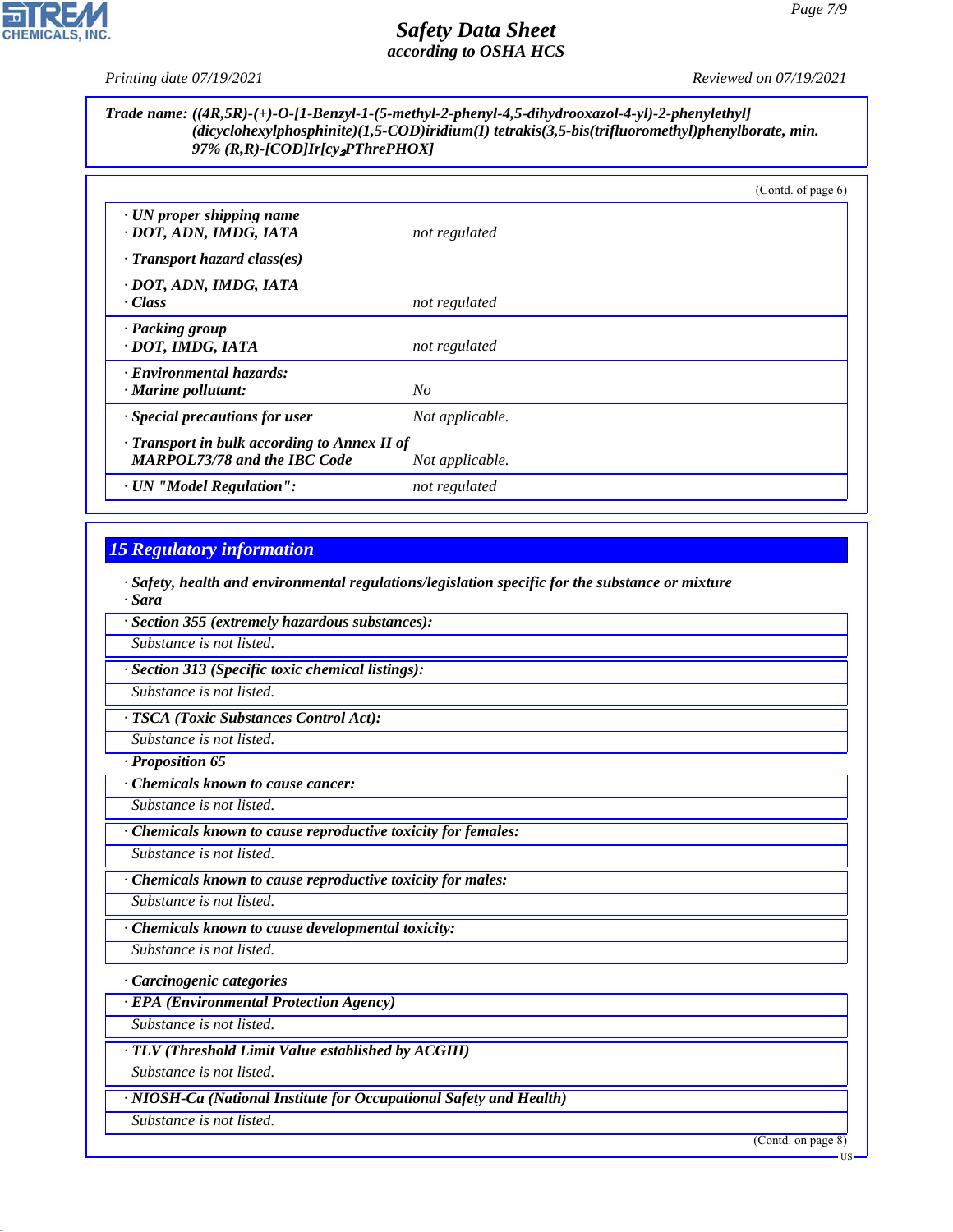**CHEMICALS, INC.** 

*Printing date 07/19/2021 Reviewed on 07/19/2021*

#### *Trade name: ((4R,5R)-(+)-O-[1-Benzyl-1-(5-methyl-2-phenyl-4,5-dihydrooxazol-4-yl)-2-phenylethyl] (dicyclohexylphosphinite)(1,5-COD)iridium(I) tetrakis(3,5-bis(trifluoromethyl)phenylborate, min. 97% (R,R)-[COD]Ir[cy*₂*PThrePHOX]*

|                                                                                           | (Contd. of page $6$ ) |  |
|-------------------------------------------------------------------------------------------|-----------------------|--|
| $\cdot$ UN proper shipping name<br>· DOT, ADN, IMDG, IATA                                 | not regulated         |  |
| $\cdot$ Transport hazard class(es)                                                        |                       |  |
| · DOT, ADN, IMDG, IATA<br>· Class                                                         | not regulated         |  |
| · Packing group<br>· DOT, IMDG, IATA                                                      | not regulated         |  |
| · Environmental hazards:<br>$\cdot$ Marine pollutant:                                     | No                    |  |
| · Special precautions for user                                                            | Not applicable.       |  |
| $\cdot$ Transport in bulk according to Annex II of<br><b>MARPOL73/78 and the IBC Code</b> | Not applicable.       |  |
| · UN "Model Regulation":                                                                  | not regulated         |  |

## *15 Regulatory information*

*· Safety, health and environmental regulations/legislation specific for the substance or mixture · Sara*

*· Section 355 (extremely hazardous substances):*

*Substance is not listed.*

*· Section 313 (Specific toxic chemical listings):*

*Substance is not listed.*

*· TSCA (Toxic Substances Control Act):*

*Substance is not listed.*

*· Proposition 65*

*· Chemicals known to cause cancer:*

*Substance is not listed.*

*· Chemicals known to cause reproductive toxicity for females:*

*Substance is not listed.*

*· Chemicals known to cause reproductive toxicity for males:*

*Substance is not listed.*

*· Chemicals known to cause developmental toxicity:*

*Substance is not listed.*

*· Carcinogenic categories*

*· EPA (Environmental Protection Agency)*

*Substance is not listed.*

*· TLV (Threshold Limit Value established by ACGIH)*

*Substance is not listed.*

*· NIOSH-Ca (National Institute for Occupational Safety and Health)*

*Substance is not listed.*

44.1.1

(Contd. on page 8)

**HQ**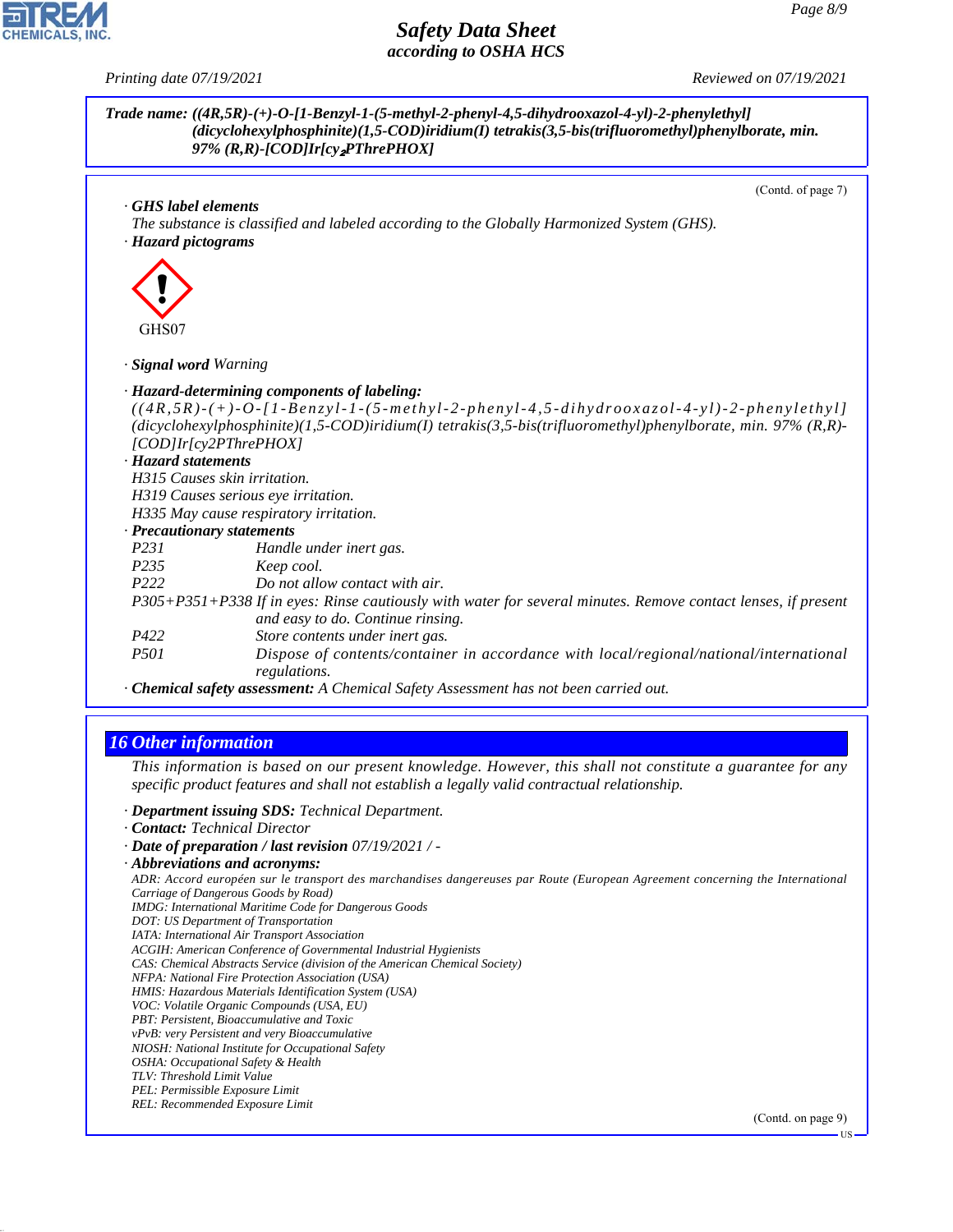**CHEMICALS, INC** 

*Printing date 07/19/2021 Reviewed on 07/19/2021*

| Trade name: ((4R,5R)-(+)-O-[1-Benzyl-1-(5-methyl-2-phenyl-4,5-dihydrooxazol-4-yl)-2-phenylethyl]<br>(dicyclohexylphosphinite)(1,5-COD)iridium(I) tetrakis(3,5-bis(trifluoromethyl)phenylborate, min.<br>97% (R,R)-[COD]Ir[cy <sub>2</sub> PThrePHOX] |                                                                                                                         |  |
|------------------------------------------------------------------------------------------------------------------------------------------------------------------------------------------------------------------------------------------------------|-------------------------------------------------------------------------------------------------------------------------|--|
|                                                                                                                                                                                                                                                      | (Contd. of page 7)                                                                                                      |  |
| GHS label elements<br>· Hazard pictograms                                                                                                                                                                                                            | The substance is classified and labeled according to the Globally Harmonized System (GHS).                              |  |
|                                                                                                                                                                                                                                                      |                                                                                                                         |  |
| GHS07                                                                                                                                                                                                                                                |                                                                                                                         |  |
| · Signal word Warning                                                                                                                                                                                                                                |                                                                                                                         |  |
|                                                                                                                                                                                                                                                      | · Hazard-determining components of labeling:                                                                            |  |
|                                                                                                                                                                                                                                                      | $((4R,5R)-(+)$ - $O$ -[1-Benzyl-1-(5-methyl-2-phenyl-4,5-dihydrooxazol-4-yl)-2-phenylethyl]                             |  |
|                                                                                                                                                                                                                                                      | $(dicyclohexylphosphinite)$ $(1,5-COD)$ iridium $(I)$ tetrakis $(3,5-bis (trifluoromethyl)phenylborate, min. 97% (R,R)$ |  |
|                                                                                                                                                                                                                                                      | [COD]Ir[cy2PThrePHOX]                                                                                                   |  |
| · Hazard statements                                                                                                                                                                                                                                  |                                                                                                                         |  |
|                                                                                                                                                                                                                                                      | H315 Causes skin irritation.                                                                                            |  |
|                                                                                                                                                                                                                                                      | H319 Causes serious eye irritation.                                                                                     |  |
|                                                                                                                                                                                                                                                      | H335 May cause respiratory irritation.                                                                                  |  |
| · Precautionary statements                                                                                                                                                                                                                           |                                                                                                                         |  |
| P231                                                                                                                                                                                                                                                 | Handle under inert gas.                                                                                                 |  |
| P235                                                                                                                                                                                                                                                 | Keep cool.                                                                                                              |  |
| P <sub>222</sub>                                                                                                                                                                                                                                     | Do not allow contact with air.                                                                                          |  |
|                                                                                                                                                                                                                                                      | P305+P351+P338 If in eyes: Rinse cautiously with water for several minutes. Remove contact lenses, if present           |  |
|                                                                                                                                                                                                                                                      | and easy to do. Continue rinsing.                                                                                       |  |
| P422                                                                                                                                                                                                                                                 | Store contents under inert gas.                                                                                         |  |
| <i>P501</i>                                                                                                                                                                                                                                          | Dispose of contents/container in accordance with local/regional/national/international                                  |  |
|                                                                                                                                                                                                                                                      | regulations.                                                                                                            |  |
|                                                                                                                                                                                                                                                      | · Chemical safety assessment: A Chemical Safety Assessment has not been carried out.                                    |  |

## *16 Other information*

*This information is based on our present knowledge. However, this shall not constitute a guarantee for any specific product features and shall not establish a legally valid contractual relationship.*

#### *· Department issuing SDS: Technical Department.*

- *· Contact: Technical Director*
- *· Date of preparation / last revision 07/19/2021 / -*
- *· Abbreviations and acronyms:*

*ADR: Accord européen sur le transport des marchandises dangereuses par Route (European Agreement concerning the International Carriage of Dangerous Goods by Road)*

- *IMDG: International Maritime Code for Dangerous Goods*
- *DOT: US Department of Transportation*
- *IATA: International Air Transport Association*
- *ACGIH: American Conference of Governmental Industrial Hygienists*
- *CAS: Chemical Abstracts Service (division of the American Chemical Society)*
- *NFPA: National Fire Protection Association (USA)*
- *HMIS: Hazardous Materials Identification System (USA)*
- *VOC: Volatile Organic Compounds (USA, EU)*
- *PBT: Persistent, Bioaccumulative and Toxic*
- *vPvB: very Persistent and very Bioaccumulative NIOSH: National Institute for Occupational Safety*
- *OSHA: Occupational Safety & Health*
- *TLV: Threshold Limit Value*
- 

44.1.1

*PEL: Permissible Exposure Limit REL: Recommended Exposure Limit*

(Contd. on page 9)

US